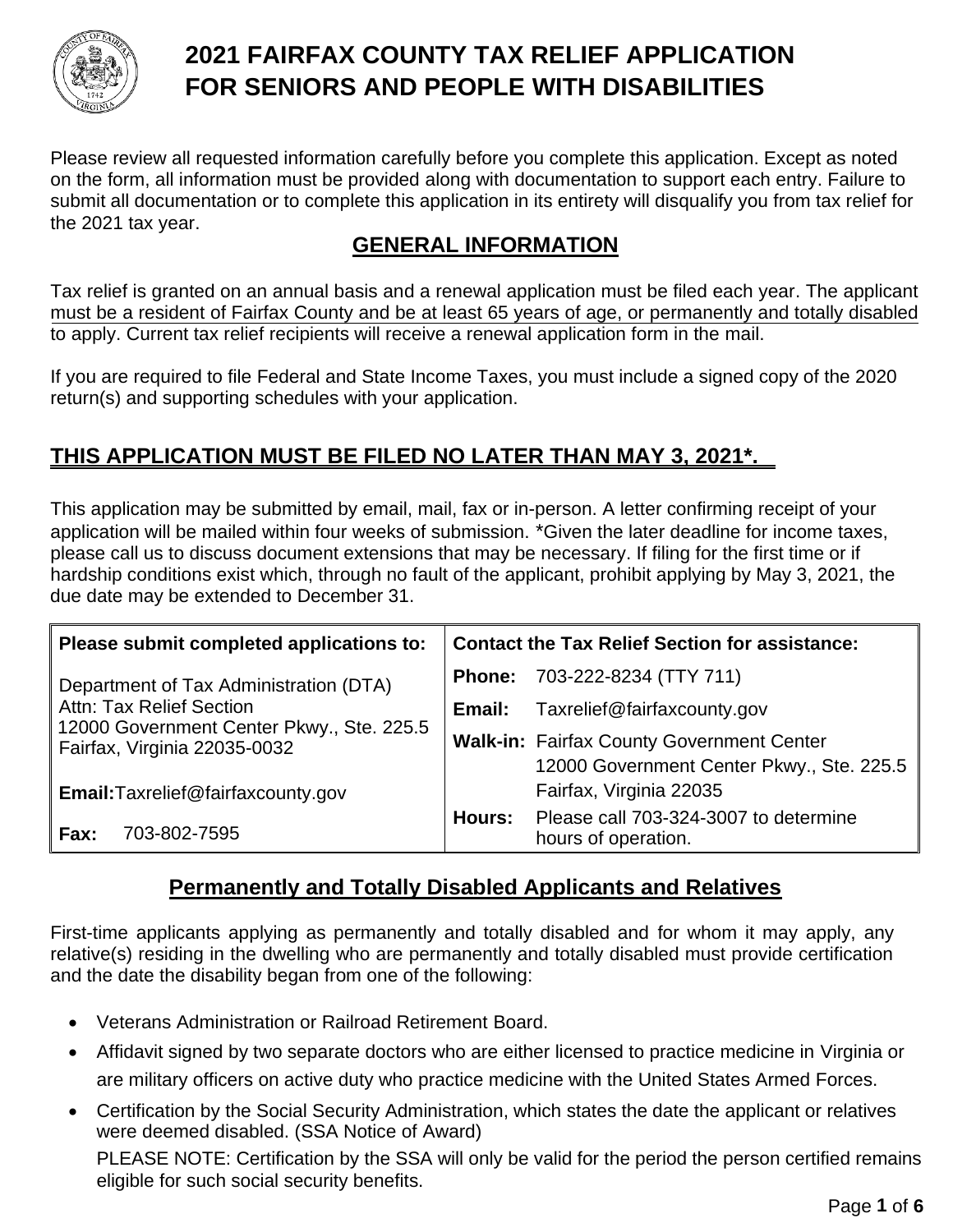

# **FOR SENIORS AND PEOPLE WITH DISABILITIES 2021 FAIRFAX COUNTY TAX RELIEF APPLICATION**

the 2021 tax year. submit all documentation or to complete this application in its entirety will disqualify you from tax relief for on the form, all information must be provided along with documentation to support each entry. Failure to Please review all requested information carefully before you complete this application. Except as noted

## **GENERAL INFORMATION**

to apply. Current tax relief recipients will receive a renewal application form in the mail. must be a resident of Fairfax County and be at least 65 years of age, or permanently and totally disabled Tax relief is granted on an annual basis and a renewal application must be filed each year. The applicant

return(s) and supporting schedules with your application. If you are required to file Federal and State Income Taxes, you must include a signed copy of the 2020

# **THIS APPLICATION MUST BE FILED NO LATER THAN MAY 3, 2021\*.**

due date may be extended to December 31. hardship conditions exist which, through no fault of the applicant, prohibit applying by May 3, 2021, the please call us to discuss document extensions that may be necessary. If filing for the first time or if application will be mailed within four weeks of submission. \*Given the later deadline for income taxes, This application may be submitted by email, mail, fax or in-person. A letter confirming receipt of your

| Please submit completed applications to:                                  | <b>Contact the Tax Relief Section for assistance:</b> |                                                                                               |  |
|---------------------------------------------------------------------------|-------------------------------------------------------|-----------------------------------------------------------------------------------------------|--|
| Department of Tax Administration (DTA)                                    | <b>Phone:</b>                                         | 703-222-8234 (TTY 711)                                                                        |  |
| <b>Attn: Tax Relief Section</b>                                           | Email:                                                | Taxrelief@fairfaxcounty.gov                                                                   |  |
| 12000 Government Center Pkwy., Ste. 225.5<br>Fairfax, Virginia 22035-0032 |                                                       | <b>Walk-in: Fairfax County Government Center</b><br>12000 Government Center Pkwy., Ste. 225.5 |  |
| Email: Taxrelief@fairfaxcounty.gov                                        |                                                       | Fairfax, Virginia 22035                                                                       |  |
| 703-802-7595<br>Fax:                                                      | Hours:                                                | Please call 703-324-3007 to determine<br>hours of operation.                                  |  |

## **Permanently and Totally Disabled Applicants and Relatives**

First-time applicants applying as permanently and totally disabled and for whom it may apply, any relative(s) residing in the dwelling who are permanently and totally disabled must provide certification and the date the disability began from one of the following:

- Veterans Administration or Railroad Retirement Board.
- Affidavit signed by two separate doctors who are either licensed to practice medicine in Virginia or are military officers on active duty who practice medicine with the United States Armed Forces.
- Certification by the Social Security Administration, which states the date the applicant or relatives were deemed disabled. (SSA Notice of Award) PLEASE NOTE: Certification by the SSA will only be valid for the period the person certified remains eligible for such social security benefits.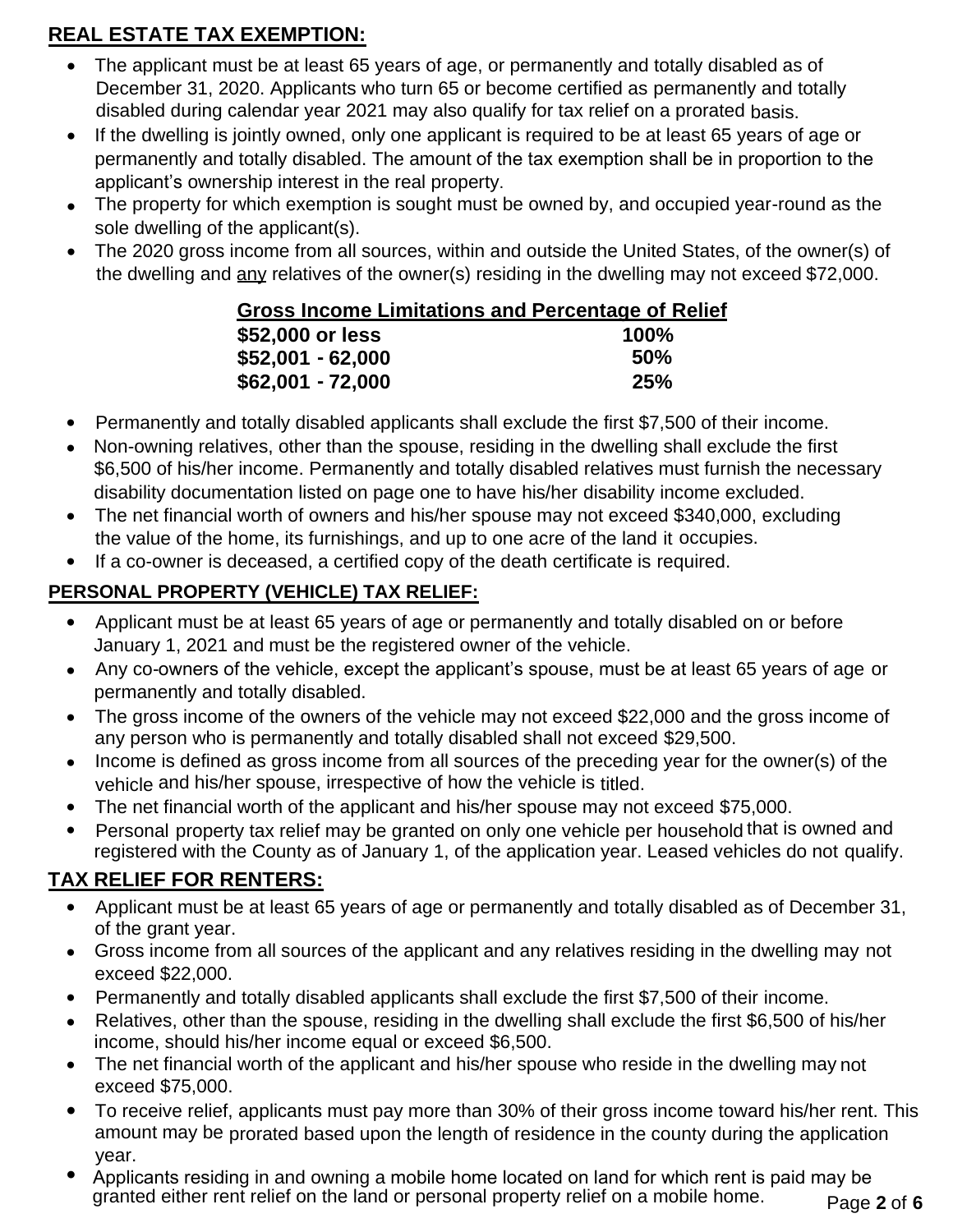### **REAL ESTATE TAX EXEMPTION:**

- The applicant must be at least 65 years of age, or permanently and totally disabled as of disabled during calendar year 2021 may also qualify for tax relief on a prorated basis. December 31, 2020. Applicants who turn 65 or become certified as permanently and totally
- applicant's ownership interest in the real property. permanently and totally disabled. The amount of the tax exemption shall be in proportion to the • If the dwelling is jointly owned, only one applicant is required to be at least 65 years of age or
- sole dwelling of the applicant(s). • The property for which exemption is sought must be owned by, and occupied year-round as the
- the dwelling and any relatives of the owner(s) residing in the dwelling may not exceed \$72,000. • The 2020 gross income from all sources, within and outside the United States, of the owner(s) of

### **Gross Income Limitations and Percentage of Relief**

| \$52,000 or less  | <b>100%</b> |
|-------------------|-------------|
| \$52,001 - 62,000 | 50%         |
| \$62,001 - 72,000 | 25%         |

- Permanently and totally disabled applicants shall exclude the first \$7,500 of their income.
- disability documentation listed on page one to have his/her disability income excluded. \$6,500 of his/her income. Permanently and totally disabled relatives must furnish the necessary Non-owning relatives, other than the spouse, residing in the dwelling shall exclude the first
- the value of the home, its furnishings, and up to one acre of the land it occupies. • The net financial worth of owners and his/her spouse may not exceed \$340,000, excluding
- If a co-owner is deceased, a certified copy of the death certificate is required.

### **PERSONAL PROPERTY (VEHICLE) TAX RELIEF:**

- January 1, 2021 and must be the registered owner of the vehicle. • Applicant must be at least 65 years of age or permanently and totally disabled on or before
- permanently and totally disabled. • Any co-owners of the vehicle, except the applicant's spouse, must be at least 65 years of age or
- any person who is permanently and totally disabled shall not exceed \$29,500. • The gross income of the owners of the vehicle may not exceed \$22,000 and the gross income of
- vehicle and his/her spouse, irrespective of how the vehicle is titled. • Income is defined as gross income from all sources of the preceding year for the owner(s) of the
- The net financial worth of the applicant and his/her spouse may not exceed \$75,000.
- registered with the County as of January 1, of the application year. Leased vehicles do not qualify. • Personal property tax relief may be granted on only one vehicle per household that is owned and

# **TAX RELIEF FOR RENTERS:**

- of the grant year. • Applicant must be at least 65 years of age or permanently and totally disabled as of December 31,
- exceed \$22,000. • Gross income from all sources of the applicant and any relatives residing in the dwelling may not
- Permanently and totally disabled applicants shall exclude the first \$7,500 of their income.
- income, should his/her income equal or exceed \$6,500. • Relatives, other than the spouse, residing in the dwelling shall exclude the first \$6,500 of his/her
- exceed \$75,000. • The net financial worth of the applicant and his/her spouse who reside in the dwelling may not
- year. amount may be prorated based upon the length of residence in the county during the application • To receive relief, applicants must pay more than 30% of their gross income toward his/her rent. This
- Applicants residing in and owning a mobile home located on land for which rent is paid may be granted either rent relief on the land or personal property relief on a mobile home.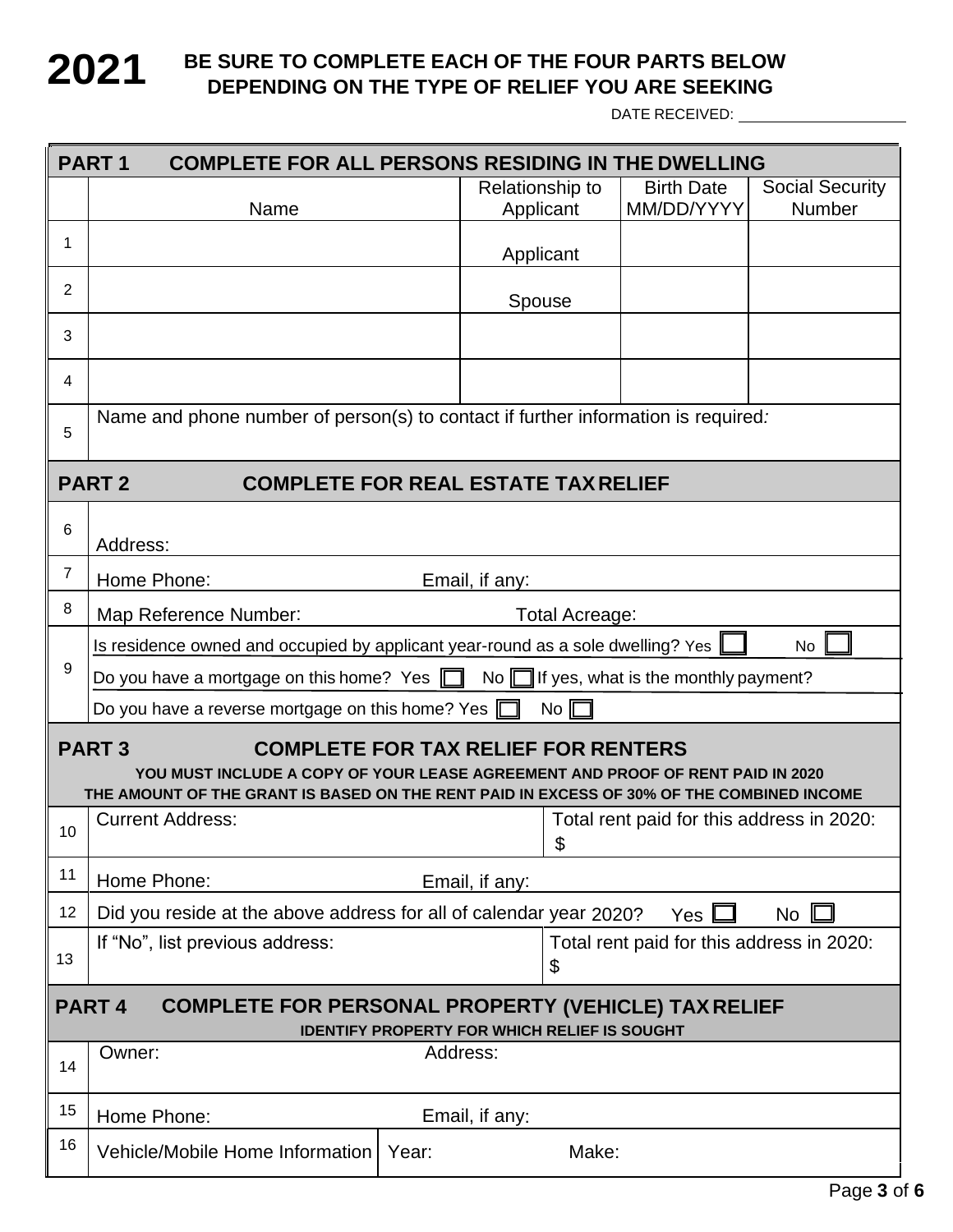### **2021** BE SURE TO COMPLETE EACH OF THE FOUR PARTS BELOW DEPENDING ON THE TYPE OF RELIEF YOU ARE SEEKING **DEPENDING ON THE TYPE OF RELIEF YOU ARE SEEKING**

DATE RECEIVED: **WebSite 2018** 

| PART <sub>1</sub><br><b>COMPLETE FOR ALL PERSONS RESIDING IN THE DWELLING</b>                                                                                                                                                             |                                                                                                   |                |                              |                                           |                                         |  |
|-------------------------------------------------------------------------------------------------------------------------------------------------------------------------------------------------------------------------------------------|---------------------------------------------------------------------------------------------------|----------------|------------------------------|-------------------------------------------|-----------------------------------------|--|
|                                                                                                                                                                                                                                           | Name                                                                                              |                | Relationship to<br>Applicant | <b>Birth Date</b><br>MM/DD/YYYY           | <b>Social Security</b><br><b>Number</b> |  |
| 1                                                                                                                                                                                                                                         |                                                                                                   |                | Applicant                    |                                           |                                         |  |
| 2                                                                                                                                                                                                                                         |                                                                                                   |                | Spouse                       |                                           |                                         |  |
| 3                                                                                                                                                                                                                                         |                                                                                                   |                |                              |                                           |                                         |  |
| 4                                                                                                                                                                                                                                         |                                                                                                   |                |                              |                                           |                                         |  |
| 5                                                                                                                                                                                                                                         | Name and phone number of person(s) to contact if further information is required:                 |                |                              |                                           |                                         |  |
|                                                                                                                                                                                                                                           | <b>PART2</b><br><b>COMPLETE FOR REAL ESTATE TAX RELIEF</b>                                        |                |                              |                                           |                                         |  |
| 6                                                                                                                                                                                                                                         | Address:                                                                                          |                |                              |                                           |                                         |  |
| 7                                                                                                                                                                                                                                         | Home Phone:<br>Email, if any:                                                                     |                |                              |                                           |                                         |  |
| 8                                                                                                                                                                                                                                         | Map Reference Number:<br>Total Acreage:                                                           |                |                              |                                           |                                         |  |
|                                                                                                                                                                                                                                           | Is residence owned and occupied by applicant year-round as a sole dwelling? Yes<br>No.            |                |                              |                                           |                                         |  |
| 9                                                                                                                                                                                                                                         | Do you have a mortgage on this home? Yes $\Box$<br>No $\Box$ If yes, what is the monthly payment? |                |                              |                                           |                                         |  |
|                                                                                                                                                                                                                                           | Do you have a reverse mortgage on this home? Yes $\Box$<br>$No \Box$                              |                |                              |                                           |                                         |  |
| <b>PART3</b><br><b>COMPLETE FOR TAX RELIEF FOR RENTERS</b><br>YOU MUST INCLUDE A COPY OF YOUR LEASE AGREEMENT AND PROOF OF RENT PAID IN 2020<br>THE AMOUNT OF THE GRANT IS BASED ON THE RENT PAID IN EXCESS OF 30% OF THE COMBINED INCOME |                                                                                                   |                |                              |                                           |                                         |  |
| 10                                                                                                                                                                                                                                        | <b>Current Address:</b>                                                                           |                | \$                           | Total rent paid for this address in 2020: |                                         |  |
| 11                                                                                                                                                                                                                                        | Home Phone:<br>Email, if any:                                                                     |                |                              |                                           |                                         |  |
| 12                                                                                                                                                                                                                                        | Did you reside at the above address for all of calendar year 2020?<br>$No$ $[$<br>Yes $\Box$      |                |                              |                                           |                                         |  |
| 13                                                                                                                                                                                                                                        | If "No", list previous address:<br>Total rent paid for this address in 2020:<br>\$                |                |                              |                                           |                                         |  |
| <b>COMPLETE FOR PERSONAL PROPERTY (VEHICLE) TAX RELIEF</b><br><b>PART4</b><br><b>IDENTIFY PROPERTY FOR WHICH RELIEF IS SOUGHT</b>                                                                                                         |                                                                                                   |                |                              |                                           |                                         |  |
| 14                                                                                                                                                                                                                                        | Owner:                                                                                            | Address:       |                              |                                           |                                         |  |
| 15                                                                                                                                                                                                                                        | Home Phone:                                                                                       | Email, if any: |                              |                                           |                                         |  |
| 16                                                                                                                                                                                                                                        | Vehicle/Mobile Home Information                                                                   | Year:          | Make:                        |                                           |                                         |  |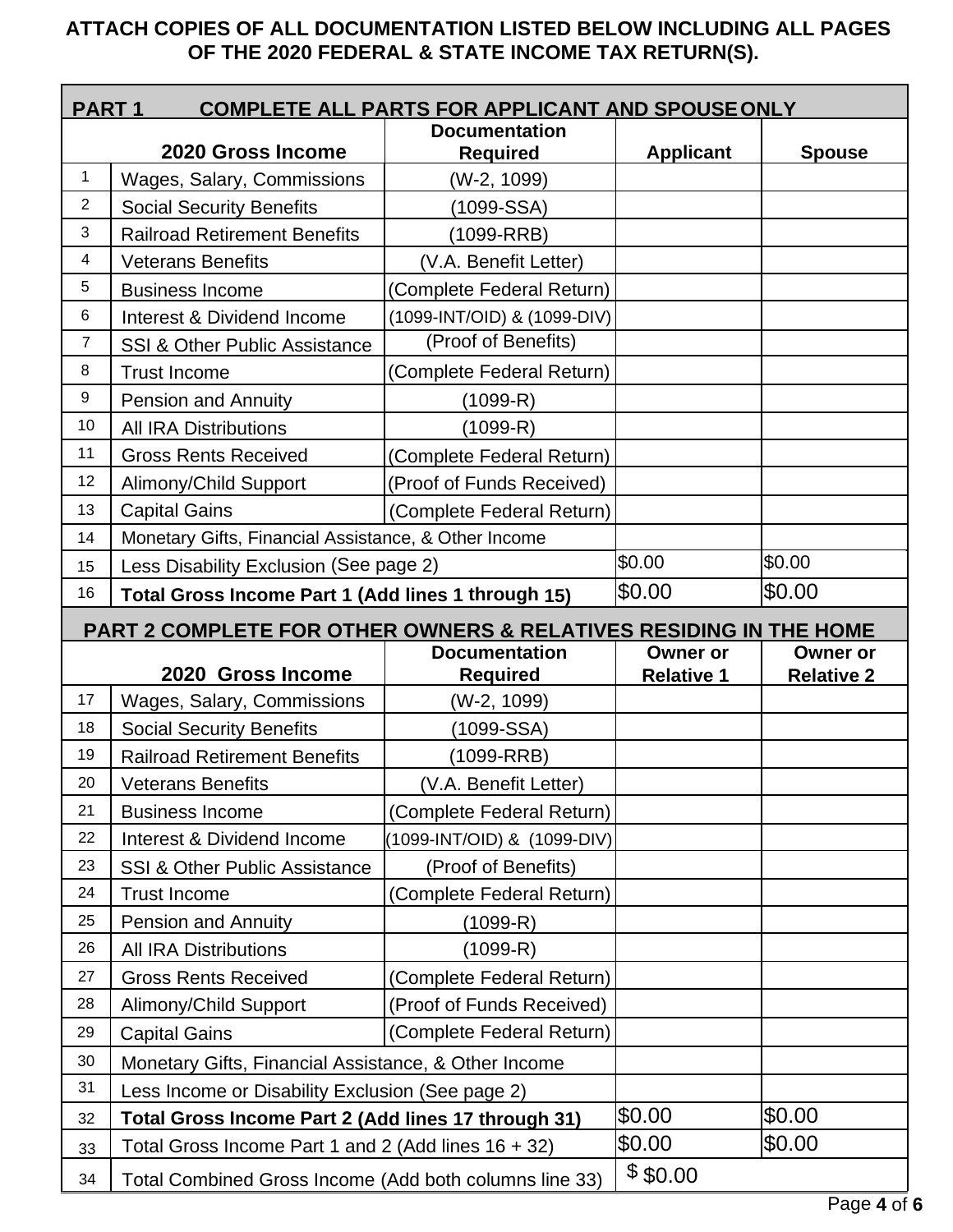### **OF THE 2020 FEDERAL & STATE INCOME TAX RETURN(S). ATTACH COPIES OF ALL DOCUMENTATION LISTED BELOW INCLUDING ALL PAGES**

| <b>COMPLETE ALL PARTS FOR APPLICANT AND SPOUSE ONLY</b><br><b>PART1</b> |                                                                                                               |                             |                   |                   |  |  |
|-------------------------------------------------------------------------|---------------------------------------------------------------------------------------------------------------|-----------------------------|-------------------|-------------------|--|--|
|                                                                         |                                                                                                               | <b>Documentation</b>        |                   |                   |  |  |
| 1                                                                       | 2020 Gross Income                                                                                             | <b>Required</b>             | <b>Applicant</b>  | <b>Spouse</b>     |  |  |
| $\overline{2}$                                                          | Wages, Salary, Commissions                                                                                    | (W-2, 1099)                 |                   |                   |  |  |
| 3                                                                       | <b>Social Security Benefits</b>                                                                               | (1099-SSA)                  |                   |                   |  |  |
| $\overline{\mathcal{A}}$                                                | <b>Railroad Retirement Benefits</b>                                                                           | $(1099-RRB)$                |                   |                   |  |  |
| 5                                                                       | <b>Veterans Benefits</b>                                                                                      | (V.A. Benefit Letter)       |                   |                   |  |  |
|                                                                         | <b>Business Income</b>                                                                                        | (Complete Federal Return)   |                   |                   |  |  |
| 6                                                                       | <b>Interest &amp; Dividend Income</b>                                                                         | (1099-INT/OID) & (1099-DIV) |                   |                   |  |  |
| $\overline{7}$                                                          | SSI & Other Public Assistance                                                                                 | (Proof of Benefits)         |                   |                   |  |  |
| 8                                                                       | <b>Trust Income</b>                                                                                           | (Complete Federal Return)   |                   |                   |  |  |
| 9                                                                       | <b>Pension and Annuity</b>                                                                                    | $(1099 - R)$                |                   |                   |  |  |
| 10                                                                      | <b>All IRA Distributions</b>                                                                                  | (1099-R)                    |                   |                   |  |  |
| 11                                                                      | <b>Gross Rents Received</b>                                                                                   | (Complete Federal Return)   |                   |                   |  |  |
| 12                                                                      | Alimony/Child Support                                                                                         | (Proof of Funds Received)   |                   |                   |  |  |
| 13                                                                      | <b>Capital Gains</b>                                                                                          | (Complete Federal Return)   |                   |                   |  |  |
| 14                                                                      | Monetary Gifts, Financial Assistance, & Other Income                                                          |                             |                   |                   |  |  |
| 15                                                                      | Less Disability Exclusion (See page 2)                                                                        |                             | \$0.00            | \$0.00            |  |  |
| 16                                                                      | \$0.00<br>\$0.00<br>Total Gross Income Part 1 (Add lines 1 through 15)                                        |                             |                   |                   |  |  |
| PART 2 COMPLETE FOR OTHER OWNERS & RELATIVES RESIDING IN THE HOME       |                                                                                                               |                             |                   |                   |  |  |
|                                                                         |                                                                                                               |                             |                   |                   |  |  |
|                                                                         |                                                                                                               | <b>Documentation</b>        | <b>Owner or</b>   | <b>Owner or</b>   |  |  |
|                                                                         | 2020 Gross Income                                                                                             | <b>Required</b>             | <b>Relative 1</b> | <b>Relative 2</b> |  |  |
| 17                                                                      | Wages, Salary, Commissions                                                                                    | (W-2, 1099)                 |                   |                   |  |  |
| 18                                                                      | <b>Social Security Benefits</b>                                                                               | (1099-SSA)                  |                   |                   |  |  |
| 19                                                                      | <b>Railroad Retirement Benefits</b>                                                                           | (1099-RRB)                  |                   |                   |  |  |
| 20                                                                      | <b>Veterans Benefits</b>                                                                                      | (V.A. Benefit Letter)       |                   |                   |  |  |
| 21                                                                      | <b>Business Income</b>                                                                                        | (Complete Federal Return)   |                   |                   |  |  |
| 22                                                                      | Interest & Dividend Income                                                                                    | (1099-INT/OID) & (1099-DIV) |                   |                   |  |  |
| 23                                                                      | <b>SSI &amp; Other Public Assistance</b>                                                                      | (Proof of Benefits)         |                   |                   |  |  |
| 24                                                                      | <b>Trust Income</b>                                                                                           | (Complete Federal Return)   |                   |                   |  |  |
| 25                                                                      | <b>Pension and Annuity</b>                                                                                    | $(1099 - R)$                |                   |                   |  |  |
| 26                                                                      | <b>All IRA Distributions</b>                                                                                  | (1099-R)                    |                   |                   |  |  |
| 27                                                                      | <b>Gross Rents Received</b>                                                                                   | (Complete Federal Return)   |                   |                   |  |  |
| 28                                                                      | Alimony/Child Support                                                                                         | (Proof of Funds Received)   |                   |                   |  |  |
| 29                                                                      | <b>Capital Gains</b>                                                                                          | (Complete Federal Return)   |                   |                   |  |  |
| 30                                                                      | Monetary Gifts, Financial Assistance, & Other Income                                                          |                             |                   |                   |  |  |
| 31                                                                      |                                                                                                               |                             |                   |                   |  |  |
| 32                                                                      | Less Income or Disability Exclusion (See page 2)                                                              |                             | \$0.00            | \$0.00            |  |  |
| 33                                                                      | Total Gross Income Part 2 (Add lines 17 through 31)<br>Total Gross Income Part 1 and 2 (Add lines $16 + 32$ ) |                             | \$0.00            | \$0.00            |  |  |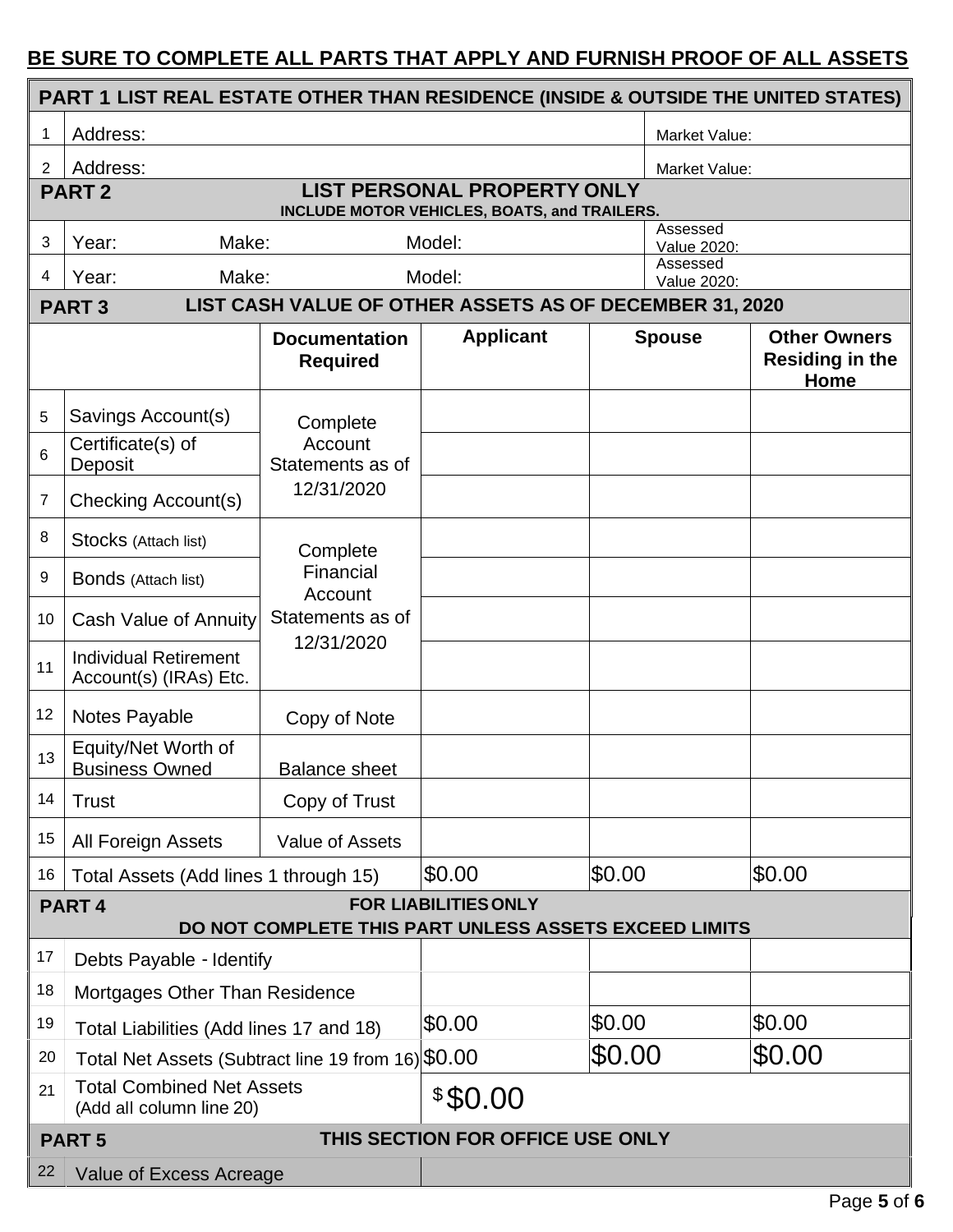### **BE SURE TO COMPLETE ALL PARTS THAT APPLY AND FURNISH PROOF OF ALL ASSETS**

| PART 1 LIST REAL ESTATE OTHER THAN RESIDENCE (INSIDE & OUTSIDE THE UNITED STATES)                    |                                                                                                    |                                          |                                                         |        |                         |                                                       |  |
|------------------------------------------------------------------------------------------------------|----------------------------------------------------------------------------------------------------|------------------------------------------|---------------------------------------------------------|--------|-------------------------|-------------------------------------------------------|--|
|                                                                                                      | Address:                                                                                           |                                          |                                                         |        | Market Value:           |                                                       |  |
| 2                                                                                                    | Address:                                                                                           |                                          |                                                         |        |                         | Market Value:                                         |  |
|                                                                                                      | <b>LIST PERSONAL PROPERTY ONLY</b><br><b>PART2</b><br>INCLUDE MOTOR VEHICLES, BOATS, and TRAILERS. |                                          |                                                         |        |                         |                                                       |  |
| 3                                                                                                    | Model:<br>Year:<br>Make:                                                                           |                                          |                                                         |        | Assessed<br>Value 2020: |                                                       |  |
| 4                                                                                                    | Make:<br>Year:                                                                                     |                                          | Model:                                                  |        | Assessed<br>Value 2020: |                                                       |  |
|                                                                                                      | <b>PART3</b>                                                                                       |                                          | LIST CASH VALUE OF OTHER ASSETS AS OF DECEMBER 31, 2020 |        |                         |                                                       |  |
|                                                                                                      |                                                                                                    | <b>Documentation</b><br><b>Required</b>  | <b>Applicant</b>                                        |        | <b>Spouse</b>           | <b>Other Owners</b><br><b>Residing in the</b><br>Home |  |
| 5                                                                                                    | Savings Account(s)                                                                                 | Complete                                 |                                                         |        |                         |                                                       |  |
| 6                                                                                                    | Certificate(s) of<br>Deposit                                                                       | Account<br>Statements as of              |                                                         |        |                         |                                                       |  |
| 7                                                                                                    | Checking Account(s)                                                                                | 12/31/2020                               |                                                         |        |                         |                                                       |  |
| 8                                                                                                    | Stocks (Attach list)                                                                               | Complete                                 |                                                         |        |                         |                                                       |  |
| 9                                                                                                    | <b>Bonds</b> (Attach list)                                                                         | Financial<br>Account<br>Statements as of |                                                         |        |                         |                                                       |  |
| 10                                                                                                   | Cash Value of Annuity                                                                              |                                          |                                                         |        |                         |                                                       |  |
| 11                                                                                                   | <b>Individual Retirement</b><br>Account(s) (IRAs) Etc.                                             | 12/31/2020                               |                                                         |        |                         |                                                       |  |
| 12                                                                                                   | Notes Payable                                                                                      | Copy of Note                             |                                                         |        |                         |                                                       |  |
| 13                                                                                                   | Equity/Net Worth of<br><b>Business Owned</b>                                                       | <b>Balance sheet</b>                     |                                                         |        |                         |                                                       |  |
| 14                                                                                                   | <b>Trust</b>                                                                                       | Copy of Trust                            |                                                         |        |                         |                                                       |  |
| 15                                                                                                   | <b>All Foreign Assets</b>                                                                          | Value of Assets                          |                                                         |        |                         |                                                       |  |
| 16                                                                                                   | Total Assets (Add lines 1 through 15)                                                              |                                          | \$0.00                                                  | \$0.00 |                         | \$0.00                                                |  |
| <b>FOR LIABILITIES ONLY</b><br><b>PART4</b><br>DO NOT COMPLETE THIS PART UNLESS ASSETS EXCEED LIMITS |                                                                                                    |                                          |                                                         |        |                         |                                                       |  |
| 17                                                                                                   | Debts Payable - Identify                                                                           |                                          |                                                         |        |                         |                                                       |  |
| 18                                                                                                   |                                                                                                    |                                          |                                                         |        |                         |                                                       |  |
| 19                                                                                                   | Mortgages Other Than Residence                                                                     |                                          | \$0.00                                                  | \$0.00 |                         | \$0.00                                                |  |
| 20                                                                                                   | Total Liabilities (Add lines 17 and 18)<br>Total Net Assets (Subtract line 19 from 16) \$0.00      |                                          |                                                         | \$0.00 |                         | \$0.00                                                |  |
| 21                                                                                                   | <b>Total Combined Net Assets</b>                                                                   |                                          | \$\$0.00                                                |        |                         |                                                       |  |
|                                                                                                      | (Add all column line 20)                                                                           |                                          |                                                         |        |                         |                                                       |  |
|                                                                                                      | THIS SECTION FOR OFFICE USE ONLY<br><b>PART5</b>                                                   |                                          |                                                         |        |                         |                                                       |  |
|                                                                                                      | 22<br>Value of Excess Acreage                                                                      |                                          |                                                         |        |                         |                                                       |  |